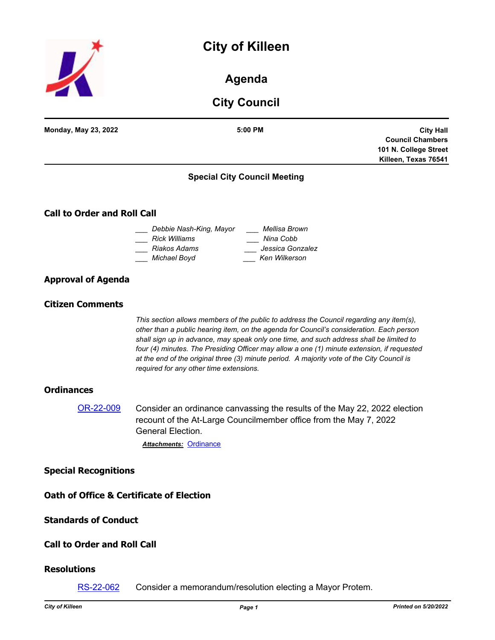# **City of Killeen**



**Agenda**

## **City Council**

| <b>City Council</b>                |                                                                                                                                                                                                                                                                                                                                                                                                                                                                                                                       |                                                                                              |
|------------------------------------|-----------------------------------------------------------------------------------------------------------------------------------------------------------------------------------------------------------------------------------------------------------------------------------------------------------------------------------------------------------------------------------------------------------------------------------------------------------------------------------------------------------------------|----------------------------------------------------------------------------------------------|
| Monday, May 23, 2022               | 5:00 PM                                                                                                                                                                                                                                                                                                                                                                                                                                                                                                               | <b>City Hall</b><br><b>Council Chambers</b><br>101 N. College Street<br>Killeen, Texas 76541 |
|                                    | <b>Special City Council Meeting</b>                                                                                                                                                                                                                                                                                                                                                                                                                                                                                   |                                                                                              |
| <b>Call to Order and Roll Call</b> |                                                                                                                                                                                                                                                                                                                                                                                                                                                                                                                       |                                                                                              |
|                                    | _  Debbie Nash-King, Mayor<br>Mellisa Brown<br>Rick Williams<br>___ Nina Cobb<br>Jessica Gonzalez<br>Riakos Adams<br>___ Michael Boyd<br>Ken Wilkerson                                                                                                                                                                                                                                                                                                                                                                |                                                                                              |
| <b>Approval of Agenda</b>          |                                                                                                                                                                                                                                                                                                                                                                                                                                                                                                                       |                                                                                              |
| <b>Citizen Comments</b>            |                                                                                                                                                                                                                                                                                                                                                                                                                                                                                                                       |                                                                                              |
|                                    | This section allows members of the public to address the Council regarding any item(s),<br>other than a public hearing item, on the agenda for Council's consideration. Each person<br>shall sign up in advance, may speak only one time, and such address shall be limited to<br>four (4) minutes. The Presiding Officer may allow a one (1) minute extension, if requested<br>at the end of the original three (3) minute period. A majority vote of the City Council is<br>required for any other time extensions. |                                                                                              |
| <b>Ordinances</b>                  |                                                                                                                                                                                                                                                                                                                                                                                                                                                                                                                       |                                                                                              |
| OR-22-009                          | Consider an ordinance canvassing the results of the May 22, 2022 election<br>recount of the At-Large Councilmember office from the May 7, 2022<br>General Election.<br><b>Attachments: Ordinance</b>                                                                                                                                                                                                                                                                                                                  |                                                                                              |
| <b>Special Recognitions</b>        |                                                                                                                                                                                                                                                                                                                                                                                                                                                                                                                       |                                                                                              |
|                                    | <b>Oath of Office &amp; Certificate of Election</b>                                                                                                                                                                                                                                                                                                                                                                                                                                                                   |                                                                                              |
| <b>Standards of Conduct</b>        |                                                                                                                                                                                                                                                                                                                                                                                                                                                                                                                       |                                                                                              |
| <b>Call to Order and Roll Call</b> |                                                                                                                                                                                                                                                                                                                                                                                                                                                                                                                       |                                                                                              |
| <b>Resolutions</b>                 |                                                                                                                                                                                                                                                                                                                                                                                                                                                                                                                       |                                                                                              |

[RS-22-062](http://killeen.legistar.com/gateway.aspx?m=l&id=/matter.aspx?key=6108) Consider a memorandum/resolution electing a Mayor Protem.